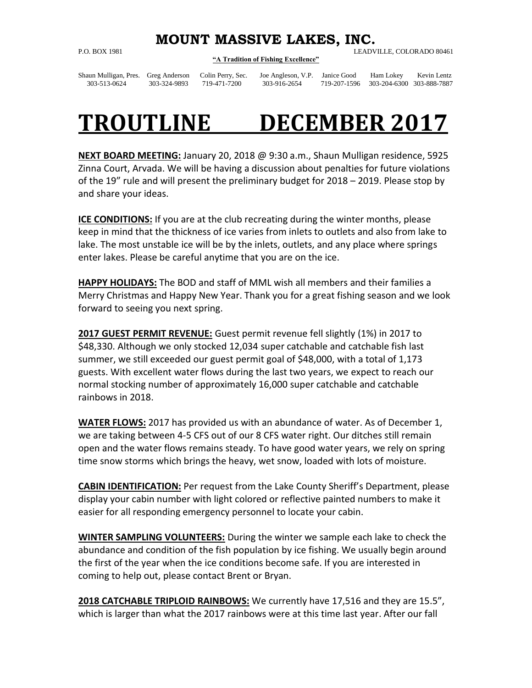## **MOUNT MASSIVE LAKES, INC.**

P.O. BOX 1981 LEADVILLE, COLORADO 80461

**"A Tradition of Fishing Excellence"**

Shaun Mulligan, Pres. Greg Anderson Colin Perry, Sec. Joe Angleson, V.P. Janice Good Ham Lokey Kevin Lentz

## 303-513-0624 303-324-9893 719-471-7200 303-916-2654 719-207-1596 303-204-6300 303-888-7887

## **TROUTLINE DECEMBER 2017**

**NEXT BOARD MEETING:** January 20, 2018 @ 9:30 a.m., Shaun Mulligan residence, 5925 Zinna Court, Arvada. We will be having a discussion about penalties for future violations of the 19" rule and will present the preliminary budget for 2018 – 2019. Please stop by and share your ideas.

**ICE CONDITIONS:** If you are at the club recreating during the winter months, please keep in mind that the thickness of ice varies from inlets to outlets and also from lake to lake. The most unstable ice will be by the inlets, outlets, and any place where springs enter lakes. Please be careful anytime that you are on the ice.

**HAPPY HOLIDAYS:** The BOD and staff of MML wish all members and their families a Merry Christmas and Happy New Year. Thank you for a great fishing season and we look forward to seeing you next spring.

**2017 GUEST PERMIT REVENUE:** Guest permit revenue fell slightly (1%) in 2017 to \$48,330. Although we only stocked 12,034 super catchable and catchable fish last summer, we still exceeded our guest permit goal of \$48,000, with a total of 1,173 guests. With excellent water flows during the last two years, we expect to reach our normal stocking number of approximately 16,000 super catchable and catchable rainbows in 2018.

**WATER FLOWS:** 2017 has provided us with an abundance of water. As of December 1, we are taking between 4-5 CFS out of our 8 CFS water right. Our ditches still remain open and the water flows remains steady. To have good water years, we rely on spring time snow storms which brings the heavy, wet snow, loaded with lots of moisture.

**CABIN IDENTIFICATION:** Per request from the Lake County Sheriff's Department, please display your cabin number with light colored or reflective painted numbers to make it easier for all responding emergency personnel to locate your cabin.

**WINTER SAMPLING VOLUNTEERS:** During the winter we sample each lake to check the abundance and condition of the fish population by ice fishing. We usually begin around the first of the year when the ice conditions become safe. If you are interested in coming to help out, please contact Brent or Bryan.

**2018 CATCHABLE TRIPLOID RAINBOWS:** We currently have 17,516 and they are 15.5", which is larger than what the 2017 rainbows were at this time last year. After our fall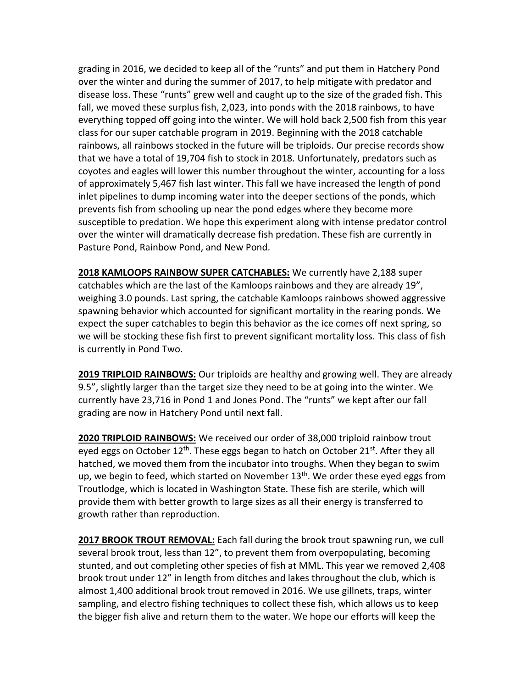grading in 2016, we decided to keep all of the "runts" and put them in Hatchery Pond over the winter and during the summer of 2017, to help mitigate with predator and disease loss. These "runts" grew well and caught up to the size of the graded fish. This fall, we moved these surplus fish, 2,023, into ponds with the 2018 rainbows, to have everything topped off going into the winter. We will hold back 2,500 fish from this year class for our super catchable program in 2019. Beginning with the 2018 catchable rainbows, all rainbows stocked in the future will be triploids. Our precise records show that we have a total of 19,704 fish to stock in 2018. Unfortunately, predators such as coyotes and eagles will lower this number throughout the winter, accounting for a loss of approximately 5,467 fish last winter. This fall we have increased the length of pond inlet pipelines to dump incoming water into the deeper sections of the ponds, which prevents fish from schooling up near the pond edges where they become more susceptible to predation. We hope this experiment along with intense predator control over the winter will dramatically decrease fish predation. These fish are currently in Pasture Pond, Rainbow Pond, and New Pond.

**2018 KAMLOOPS RAINBOW SUPER CATCHABLES:** We currently have 2,188 super catchables which are the last of the Kamloops rainbows and they are already 19", weighing 3.0 pounds. Last spring, the catchable Kamloops rainbows showed aggressive spawning behavior which accounted for significant mortality in the rearing ponds. We expect the super catchables to begin this behavior as the ice comes off next spring, so we will be stocking these fish first to prevent significant mortality loss. This class of fish is currently in Pond Two.

**2019 TRIPLOID RAINBOWS:** Our triploids are healthy and growing well. They are already 9.5", slightly larger than the target size they need to be at going into the winter. We currently have 23,716 in Pond 1 and Jones Pond. The "runts" we kept after our fall grading are now in Hatchery Pond until next fall.

**2020 TRIPLOID RAINBOWS:** We received our order of 38,000 triploid rainbow trout eyed eggs on October 12<sup>th</sup>. These eggs began to hatch on October 21<sup>st</sup>. After they all hatched, we moved them from the incubator into troughs. When they began to swim up, we begin to feed, which started on November  $13<sup>th</sup>$ . We order these eyed eggs from Troutlodge, which is located in Washington State. These fish are sterile, which will provide them with better growth to large sizes as all their energy is transferred to growth rather than reproduction.

**2017 BROOK TROUT REMOVAL:** Each fall during the brook trout spawning run, we cull several brook trout, less than 12", to prevent them from overpopulating, becoming stunted, and out completing other species of fish at MML. This year we removed 2,408 brook trout under 12" in length from ditches and lakes throughout the club, which is almost 1,400 additional brook trout removed in 2016. We use gillnets, traps, winter sampling, and electro fishing techniques to collect these fish, which allows us to keep the bigger fish alive and return them to the water. We hope our efforts will keep the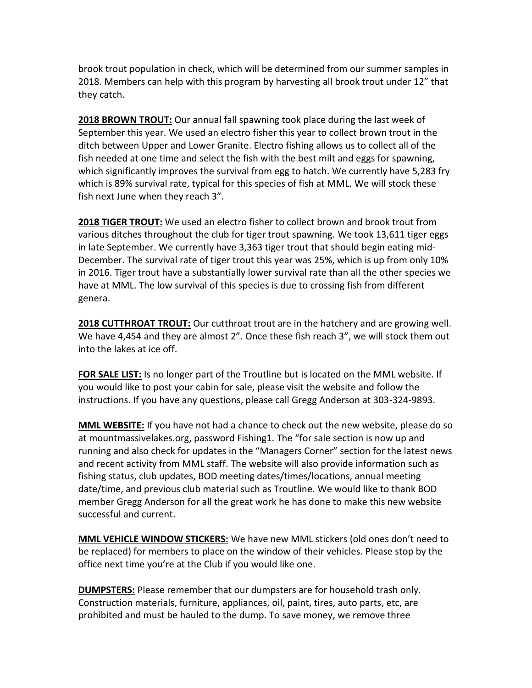brook trout population in check, which will be determined from our summer samples in 2018. Members can help with this program by harvesting all brook trout under 12" that they catch.

**2018 BROWN TROUT:** Our annual fall spawning took place during the last week of September this year. We used an electro fisher this year to collect brown trout in the ditch between Upper and Lower Granite. Electro fishing allows us to collect all of the fish needed at one time and select the fish with the best milt and eggs for spawning, which significantly improves the survival from egg to hatch. We currently have 5,283 fry which is 89% survival rate, typical for this species of fish at MML. We will stock these fish next June when they reach 3".

**2018 TIGER TROUT:** We used an electro fisher to collect brown and brook trout from various ditches throughout the club for tiger trout spawning. We took 13,611 tiger eggs in late September. We currently have 3,363 tiger trout that should begin eating mid-December. The survival rate of tiger trout this year was 25%, which is up from only 10% in 2016. Tiger trout have a substantially lower survival rate than all the other species we have at MML. The low survival of this species is due to crossing fish from different genera.

**2018 CUTTHROAT TROUT:** Our cutthroat trout are in the hatchery and are growing well. We have 4,454 and they are almost 2". Once these fish reach 3", we will stock them out into the lakes at ice off.

**FOR SALE LIST:** Is no longer part of the Troutline but is located on the MML website. If you would like to post your cabin for sale, please visit the website and follow the instructions. If you have any questions, please call Gregg Anderson at 303-324-9893.

**MML WEBSITE:** If you have not had a chance to check out the new website, please do so at mountmassivelakes.org, password Fishing1. The "for sale section is now up and running and also check for updates in the "Managers Corner" section for the latest news and recent activity from MML staff. The website will also provide information such as fishing status, club updates, BOD meeting dates/times/locations, annual meeting date/time, and previous club material such as Troutline. We would like to thank BOD member Gregg Anderson for all the great work he has done to make this new website successful and current.

**MML VEHICLE WINDOW STICKERS:** We have new MML stickers (old ones don't need to be replaced) for members to place on the window of their vehicles. Please stop by the office next time you're at the Club if you would like one.

**DUMPSTERS:** Please remember that our dumpsters are for household trash only. Construction materials, furniture, appliances, oil, paint, tires, auto parts, etc, are prohibited and must be hauled to the dump. To save money, we remove three